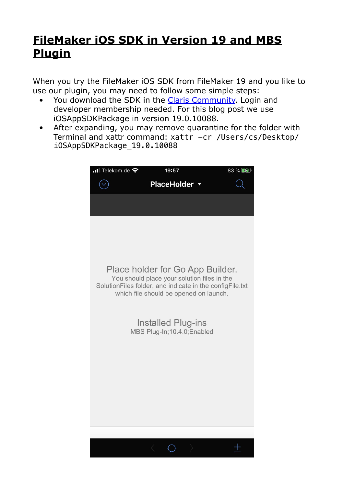## **[FileMaker iOS SDK in Version 19 and MBS](https://www.mbs-plugins.com/archive/2020-09-23/FileMaker_iOS_SDK_in_Version_1/monkeybreadsoftware_blog_filemaker)  [Plugin](https://www.mbs-plugins.com/archive/2020-09-23/FileMaker_iOS_SDK_in_Version_1/monkeybreadsoftware_blog_filemaker)**

When you try the FileMaker iOS SDK from FileMaker 19 and you like to use our plugin, you may need to follow some simple steps:

- You download the SDK in the [Claris Community.](https://www.mbs-plugins.com/archives/here) Login and developer membership needed. For this blog post we use iOSAppSDKPackage in version 19.0.10088.
- After expanding, you may remove quarantine for the folder with Terminal and xattr command: xattr -cr /Users/cs/Desktop/ iOSAppSDKPackage\_19.0.10088

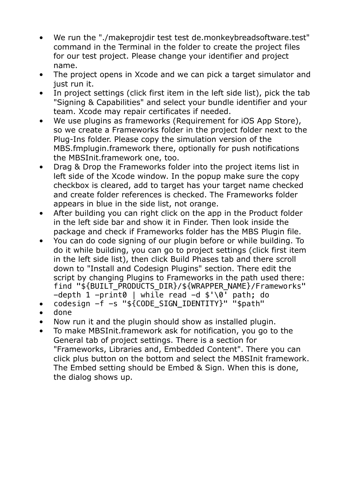- We run the "./makeprojdir test test de.monkeybreadsoftware.test" command in the Terminal in the folder to create the project files for our test project. Please change your identifier and project name.
- The project opens in Xcode and we can pick a target simulator and just run it.
- In project settings (click first item in the left side list), pick the tab "Signing & Capabilities" and select your bundle identifier and your team. Xcode may repair certificates if needed.
- We use plugins as frameworks (Requirement for iOS App Store), so we create a Frameworks folder in the project folder next to the Plug-Ins folder. Please copy the simulation version of the MBS.fmplugin.framework there, optionally for push notifications the MBSInit.framework one, too.
- Drag & Drop the Frameworks folder into the project items list in left side of the Xcode window. In the popup make sure the copy checkbox is cleared, add to target has your target name checked and create folder references is checked. The Frameworks folder appears in blue in the side list, not orange.
- After building you can right click on the app in the Product folder in the left side bar and show it in Finder. Then look inside the package and check if Frameworks folder has the MBS Plugin file.
- You can do code signing of our plugin before or while building. To do it while building, you can go to project settings (click first item in the left side list), then click Build Phases tab and there scroll down to "Install and Codesign Plugins" section. There edit the script by changing Plugins to Frameworks in the path used there: find "\${BUILT\_PRODUCTS\_DIR}/\${WRAPPER\_NAME}/Frameworks"  $-depth$  1  $-prin$ t0 | while read  $-d$  \$'\0<sup>1</sup> path; do
- codesign -f -s "\${CODE\_SIGN\_IDENTITY}" "\$path"
- done
- Now run it and the plugin should show as installed plugin.
- To make MBSInit.framework ask for notification, you go to the General tab of project settings. There is a section for "Frameworks, Libraries and, Embedded Content". There you can click plus button on the bottom and select the MBSInit framework. The Embed setting should be Embed & Sign. When this is done, the dialog shows up.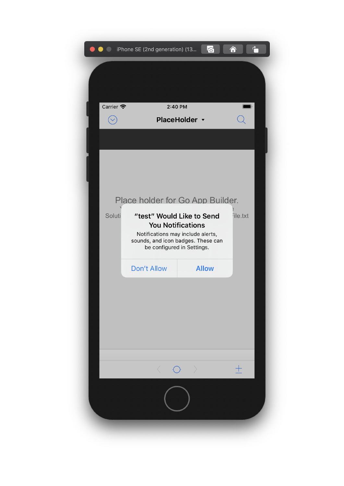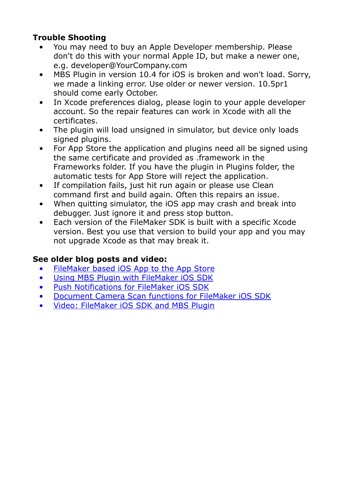## **Trouble Shooting**

- You may need to buy an Apple Developer membership. Please don't do this with your normal Apple ID, but make a newer one, e.g. developer@YourCompany.com
- MBS Plugin in version 10.4 for iOS is broken and won't load. Sorry, we made a linking error. Use older or newer version. 10.5pr1 should come early October.
- In Xcode preferences dialog, please login to your apple developer account. So the repair features can work in Xcode with all the certificates.
- The plugin will load unsigned in simulator, but device only loads signed plugins.
- For App Store the application and plugins need all be signed using the same certificate and provided as .framework in the Frameworks folder. If you have the plugin in Plugins folder, the automatic tests for App Store will reject the application.
- If compilation fails, just hit run again or please use Clean command first and build again. Often this repairs an issue.
- When quitting simulator, the iOS app may crash and break into debugger. Just ignore it and press stop button.
- Each version of the FileMaker SDK is built with a specific Xcode version. Best you use that version to build your app and you may not upgrade Xcode as that may break it.

## **See older blog posts and video:**

- [FileMaker based iOS App to the App Store](https://www.mbs-plugins.com/archive/2018-12-12/FileMaker_based_iOS_App_to_the/monkeybreadsoftware_blog_filemaker)
- [Using MBS Plugin with FileMaker iOS SDK](https://www.mbs-plugins.com/archive/2017-06-22/Using_MBS_Plugin_with_FileMake/monkeybreadsoftware_blog_filemaker)
- [Push Notifications for FileMaker iOS SDK](https://www.mbs-plugins.com/archive/2017-07-25/Push_Notifications_for_FileMak/monkeybreadsoftware_blog_filemaker)
- [Document Camera Scan functions for FileMaker iOS SDK](https://www.mbs-plugins.com/archive/2020-01-08/Document_Camera_Scan_functions/monkeybreadsoftware_blog_filemaker)
- [Video: FileMaker iOS SDK and MBS Plugin](https://www.mbsplugins.com/FileMakerIOS.shtml)